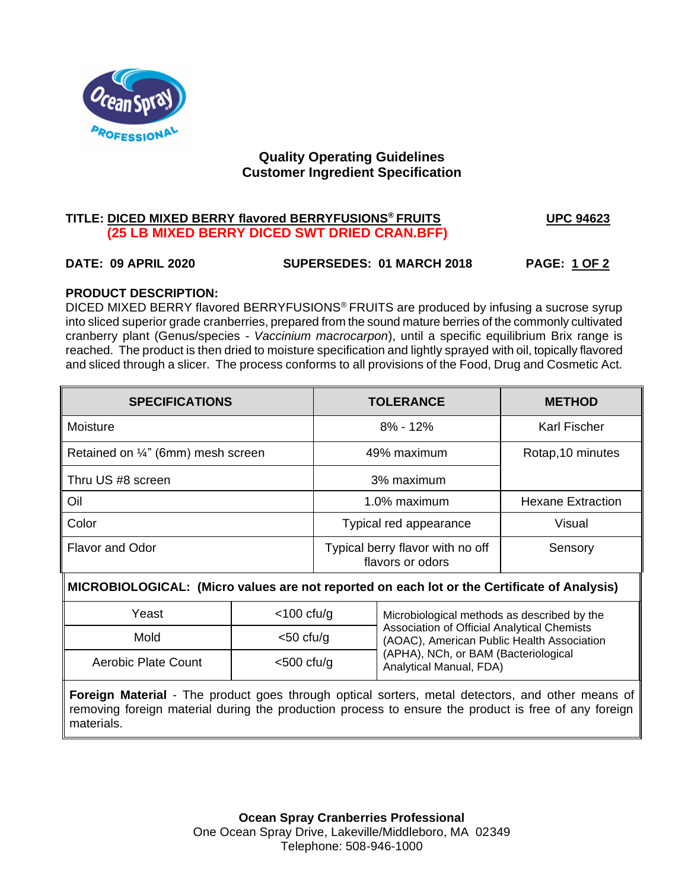

# **Quality Operating Guidelines Customer Ingredient Specification**

# **TITLE: DICED MIXED BERRY flavored BERRYFUSIONS® FRUITS UPC 94623 (25 LB MIXED BERRY DICED SWT DRIED CRAN.BFF)**

## **DATE: 09 APRIL 2020 SUPERSEDES: 01 MARCH 2018 PAGE: 1 OF 2**

## **PRODUCT DESCRIPTION:**

DICED MIXED BERRY flavored BERRYFUSIONS® FRUITS are produced by infusing a sucrose syrup into sliced superior grade cranberries, prepared from the sound mature berries of the commonly cultivated cranberry plant (Genus/species - *Vaccinium macrocarpon*), until a specific equilibrium Brix range is reached. The product is then dried to moisture specification and lightly sprayed with oil, topically flavored and sliced through a slicer. The process conforms to all provisions of the Food, Drug and Cosmetic Act.

| <b>SPECIFICATIONS</b>              | <b>TOLERANCE</b>                                     | <b>METHOD</b>            |
|------------------------------------|------------------------------------------------------|--------------------------|
| Moisture                           | $8\% - 12\%$                                         | <b>Karl Fischer</b>      |
| Retained on 1/4" (6mm) mesh screen | 49% maximum                                          | Rotap, 10 minutes        |
| Thru US #8 screen                  | 3% maximum                                           |                          |
| Oil                                | 1.0% maximum                                         | <b>Hexane Extraction</b> |
| Color                              | Typical red appearance                               | <b>Visual</b>            |
| <b>Flavor and Odor</b>             | Typical berry flavor with no off<br>flavors or odors | Sensory                  |

# M **MICROBIOLOGICAL: (Micro values are not reported on each lot or the Certificate of Analysis)**

| Yeast                       | $<$ 100 cfu/g | Microbiological methods as described by the                                                      |  |
|-----------------------------|---------------|--------------------------------------------------------------------------------------------------|--|
| Mold<br>Aerobic Plate Count | $<$ 50 cfu/g  | <b>Association of Official Analytical Chemists</b><br>(AOAC), American Public Health Association |  |
|                             | $<$ 500 cfu/g | (APHA), NCh, or BAM (Bacteriological<br>Analytical Manual, FDA)                                  |  |

**Foreign Material** - The product goes through optical sorters, metal detectors, and other means of removing foreign material during the production process to ensure the product is free of any foreign materials.